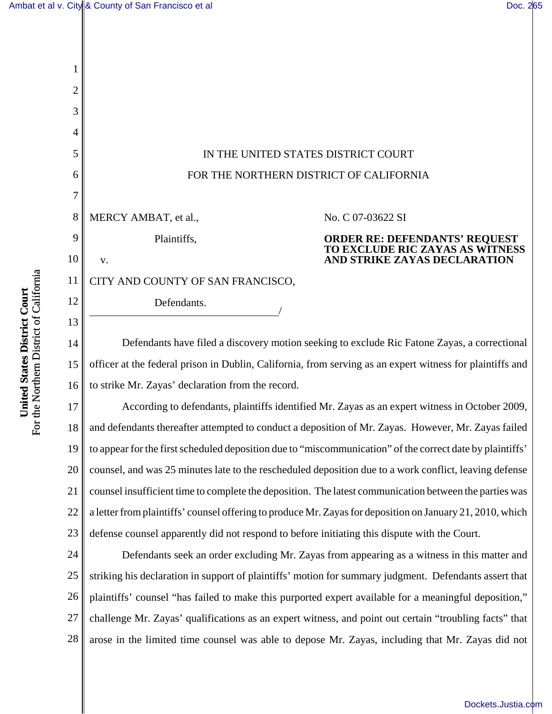

15 16 officer at the federal prison in Dublin, California, from serving as an expert witness for plaintiffs and to strike Mr. Zayas' declaration from the record.

17 18 19 20 21 22 23 According to defendants, plaintiffs identified Mr. Zayas as an expert witness in October 2009, and defendants thereafter attempted to conduct a deposition of Mr. Zayas. However, Mr. Zayas failed to appear for the first scheduled deposition due to "miscommunication" of the correct date by plaintiffs' counsel, and was 25 minutes late to the rescheduled deposition due to a work conflict, leaving defense counsel insufficient time to complete the deposition. The latest communication between the parties was a letter from plaintiffs' counsel offering to produce Mr. Zayas for deposition on January 21, 2010, which defense counsel apparently did not respond to before initiating this dispute with the Court.

24 25 26 27 28 Defendants seek an order excluding Mr. Zayas from appearing as a witness in this matter and striking his declaration in support of plaintiffs' motion for summary judgment. Defendants assert that plaintiffs' counsel "has failed to make this purported expert available for a meaningful deposition," challenge Mr. Zayas' qualifications as an expert witness, and point out certain "troubling facts" that arose in the limited time counsel was able to depose Mr. Zayas, including that Mr. Zayas did not